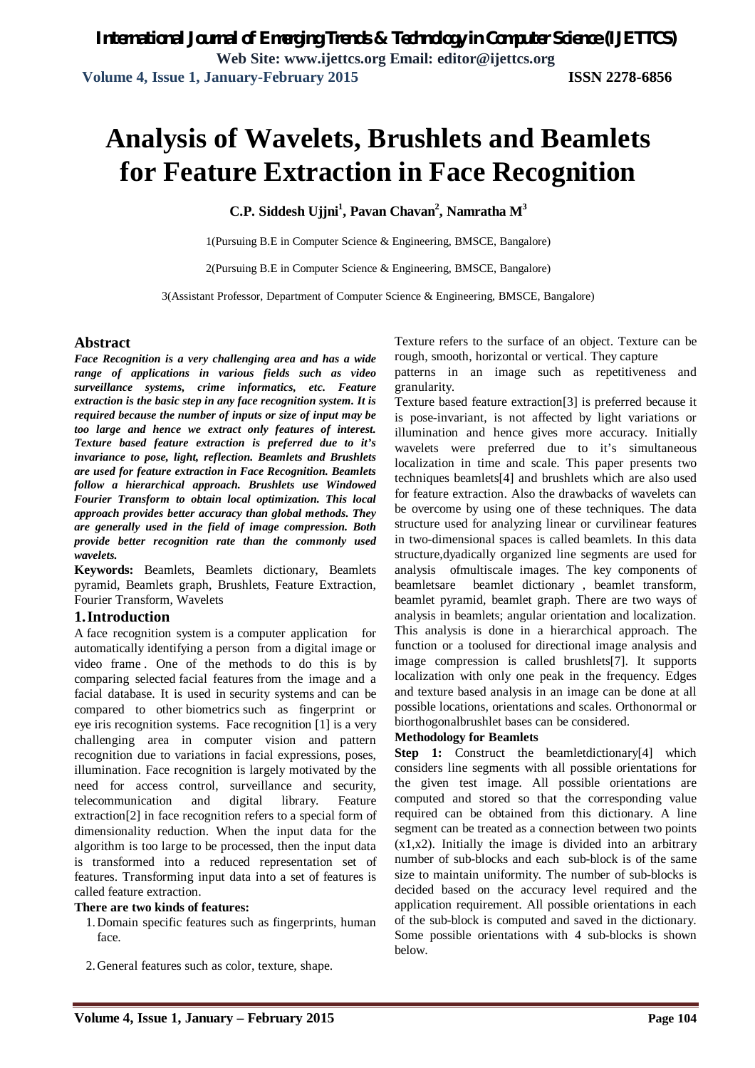# **Analysis of Wavelets, Brushlets and Beamlets for Feature Extraction in Face Recognition**

**C.P. Siddesh Ujjni<sup>1</sup> , Pavan Chavan<sup>2</sup> , Namratha M<sup>3</sup>**

1(Pursuing B.E in Computer Science & Engineering, BMSCE, Bangalore)

2(Pursuing B.E in Computer Science & Engineering, BMSCE, Bangalore)

3(Assistant Professor, Department of Computer Science & Engineering, BMSCE, Bangalore)

#### **Abstract**

*Face Recognition is a very challenging area and has a wide range of applications in various fields such as video surveillance systems, crime informatics, etc. Feature extraction is the basic step in any face recognition system. It is required because the number of inputs or size of input may be too large and hence we extract only features of interest. Texture based feature extraction is preferred due to it's invariance to pose, light, reflection. Beamlets and Brushlets are used for feature extraction in Face Recognition. Beamlets follow a hierarchical approach. Brushlets use Windowed Fourier Transform to obtain local optimization. This local approach provides better accuracy than global methods. They are generally used in the field of image compression. Both provide better recognition rate than the commonly used wavelets.*

**Keywords:** Beamlets, Beamlets dictionary, Beamlets pyramid, Beamlets graph, Brushlets, Feature Extraction, Fourier Transform, Wavelets

## **1.Introduction**

A face recognition system is a computer application for automatically identifying a person from a digital image or video frame . One of the methods to do this is by comparing selected facial features from the image and a facial database. It is used in security systems and can be compared to other biometrics such as fingerprint or eye iris recognition systems. Face recognition [1] is a very challenging area in computer vision and pattern recognition due to variations in facial expressions, poses, illumination. Face recognition is largely motivated by the need for access control, surveillance and security, telecommunication and digital library. Feature extraction[2] in face recognition refers to a special form of dimensionality reduction. When the input data for the algorithm is too large to be processed, then the input data is transformed into a reduced representation set of features. Transforming input data into a set of features is called feature extraction.

#### **There are two kinds of features:**

- 1.Domain specific features such as fingerprints, human face.
- 2.General features such as color, texture, shape.

Texture refers to the surface of an object. Texture can be rough, smooth, horizontal or vertical. They capture

patterns in an image such as repetitiveness and granularity.

Texture based feature extraction[3] is preferred because it is pose-invariant, is not affected by light variations or illumination and hence gives more accuracy. Initially wavelets were preferred due to it's simultaneous localization in time and scale. This paper presents two techniques beamlets[4] and brushlets which are also used for feature extraction. Also the drawbacks of wavelets can be overcome by using one of these techniques. The data structure used for analyzing linear or curvilinear features in two-dimensional spaces is called beamlets. In this data structure,dyadically organized line segments are used for analysis ofmultiscale images. The key components of beamletsare beamlet dictionary , beamlet transform, beamlet pyramid, beamlet graph. There are two ways of analysis in beamlets; angular orientation and localization. This analysis is done in a hierarchical approach. The function or a toolused for directional image analysis and image compression is called brushlets[7]. It supports localization with only one peak in the frequency. Edges and texture based analysis in an image can be done at all possible locations, orientations and scales. Orthonormal or biorthogonalbrushlet bases can be considered.

#### **Methodology for Beamlets**

**Step 1:** Construct the beamletdictionary<sup>[4]</sup> which considers line segments with all possible orientations for the given test image. All possible orientations are computed and stored so that the corresponding value required can be obtained from this dictionary. A line segment can be treated as a connection between two points  $(x1,x2)$ . Initially the image is divided into an arbitrary number of sub-blocks and each sub-block is of the same size to maintain uniformity. The number of sub-blocks is decided based on the accuracy level required and the application requirement. All possible orientations in each of the sub-block is computed and saved in the dictionary. Some possible orientations with 4 sub-blocks is shown below.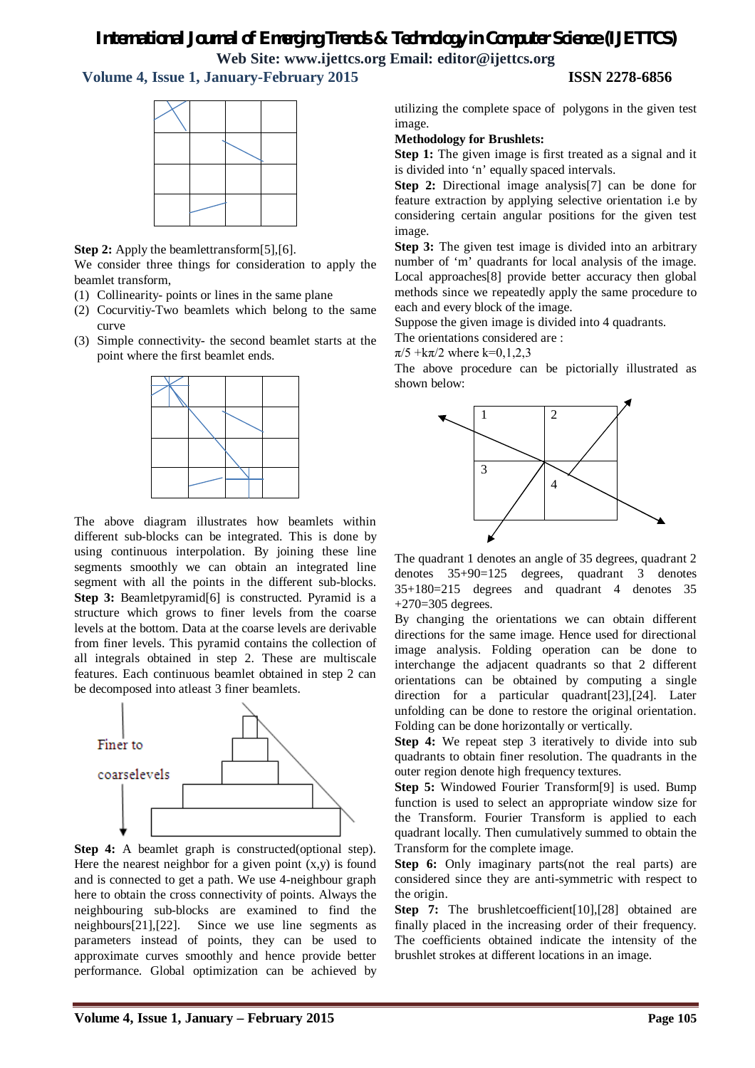# *International Journal of Emerging Trends & Technology in Computer Science (IJETTCS)*

**Web Site: www.ijettcs.org Email: editor@ijettcs.org** 

# **Volume 4, Issue 1, January-February 2015 ISSN 2278-6856**



**Step 2:** Apply the beamlettransform[5],[6].

We consider three things for consideration to apply the beamlet transform,

- (1) Collinearity- points or lines in the same plane
- (2) Cocurvitiy-Two beamlets which belong to the same curve
- (3) Simple connectivity- the second beamlet starts at the point where the first beamlet ends.



The above diagram illustrates how beamlets within different sub-blocks can be integrated. This is done by using continuous interpolation. By joining these line segments smoothly we can obtain an integrated line segment with all the points in the different sub-blocks. **Step 3:** Beamletpyramid<sup>[6]</sup> is constructed. Pyramid is a structure which grows to finer levels from the coarse levels at the bottom. Data at the coarse levels are derivable from finer levels. This pyramid contains the collection of all integrals obtained in step 2. These are multiscale features. Each continuous beamlet obtained in step 2 can be decomposed into atleast 3 finer beamlets.



**Step 4:** A beamlet graph is constructed(optional step). Here the nearest neighbor for a given point  $(x,y)$  is found and is connected to get a path. We use 4-neighbour graph here to obtain the cross connectivity of points. Always the neighbouring sub-blocks are examined to find the neighbours[21],[22]. Since we use line segments as parameters instead of points, they can be used to approximate curves smoothly and hence provide better performance. Global optimization can be achieved by

utilizing the complete space of polygons in the given test image.

**Methodology for Brushlets:**

**Step 1:** The given image is first treated as a signal and it is divided into 'n' equally spaced intervals.

**Step 2:** Directional image analysis[7] can be done for feature extraction by applying selective orientation i.e by considering certain angular positions for the given test image.

**Step 3:** The given test image is divided into an arbitrary number of 'm' quadrants for local analysis of the image. Local approaches[8] provide better accuracy then global methods since we repeatedly apply the same procedure to each and every block of the image.

Suppose the given image is divided into 4 quadrants.

The orientations considered are :

 $\pi/5 + k\pi/2$  where k=0,1,2,3

The above procedure can be pictorially illustrated as shown below:



The quadrant 1 denotes an angle of 35 degrees, quadrant 2 denotes 35+90=125 degrees, quadrant 3 denotes 35+180=215 degrees and quadrant 4 denotes 35  $+270=305$  degrees.

By changing the orientations we can obtain different directions for the same image. Hence used for directional image analysis. Folding operation can be done to interchange the adjacent quadrants so that 2 different orientations can be obtained by computing a single direction for a particular quadrant[23],[24]. Later unfolding can be done to restore the original orientation. Folding can be done horizontally or vertically.

**Step 4:** We repeat step 3 iteratively to divide into sub quadrants to obtain finer resolution. The quadrants in the outer region denote high frequency textures.

**Step 5:** Windowed Fourier Transform[9] is used. Bump function is used to select an appropriate window size for the Transform. Fourier Transform is applied to each quadrant locally. Then cumulatively summed to obtain the Transform for the complete image.

**Step 6:** Only imaginary parts(not the real parts) are considered since they are anti-symmetric with respect to the origin.

**Step 7:** The brushletcoefficient [10], [28] obtained are finally placed in the increasing order of their frequency. The coefficients obtained indicate the intensity of the brushlet strokes at different locations in an image.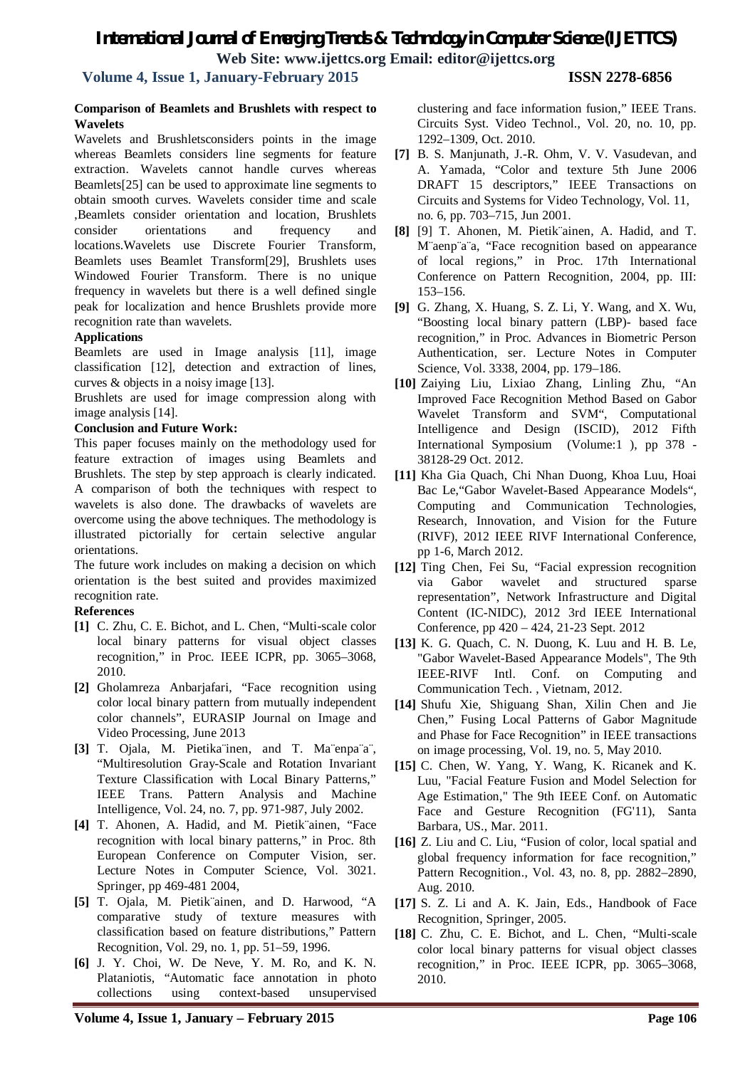# *International Journal of Emerging Trends & Technology in Computer Science (IJETTCS)* **Web Site: www.ijettcs.org Email: editor@ijettcs.org**

# **Volume 4, Issue 1, January-February 2015 ISSN 2278-6856**

#### **Comparison of Beamlets and Brushlets with respect to Wavelets**

Wavelets and Brushletsconsiders points in the image whereas Beamlets considers line segments for feature extraction. Wavelets cannot handle curves whereas Beamlets[25] can be used to approximate line segments to obtain smooth curves. Wavelets consider time and scale ,Beamlets consider orientation and location, Brushlets consider orientations and frequency and locations.Wavelets use Discrete Fourier Transform, Beamlets uses Beamlet Transform[29], Brushlets uses Windowed Fourier Transform. There is no unique frequency in wavelets but there is a well defined single peak for localization and hence Brushlets provide more recognition rate than wavelets.

### **Applications**

Beamlets are used in Image analysis [11], image classification [12], detection and extraction of lines, curves & objects in a noisy image [13].

Brushlets are used for image compression along with image analysis [14].

### **Conclusion and Future Work:**

This paper focuses mainly on the methodology used for feature extraction of images using Beamlets and Brushlets. The step by step approach is clearly indicated. A comparison of both the techniques with respect to wavelets is also done. The drawbacks of wavelets are overcome using the above techniques. The methodology is illustrated pictorially for certain selective angular orientations.

The future work includes on making a decision on which orientation is the best suited and provides maximized recognition rate.

### **References**

- **[1]** C. Zhu, C. E. Bichot, and L. Chen, "Multi-scale color local binary patterns for visual object classes recognition," in Proc. IEEE ICPR, pp. 3065–3068, 2010.
- **[2]** Gholamreza Anbarjafari, "Face recognition using color local binary pattern from mutually independent color channels", EURASIP Journal on Image and Video Processing, June 2013
- **[3]** T. Ojala, M. Pietika¨inen, and T. Ma¨enpa¨a¨, "Multiresolution Gray-Scale and Rotation Invariant Texture Classification with Local Binary Patterns," IEEE Trans. Pattern Analysis and Machine Intelligence, Vol. 24, no. 7, pp. 971-987, July 2002.
- **[4]** T. Ahonen, A. Hadid, and M. Pietik¨ainen, "Face recognition with local binary patterns," in Proc. 8th European Conference on Computer Vision, ser. Lecture Notes in Computer Science, Vol. 3021. Springer, pp 469-481 2004,
- **[5]** T. Ojala, M. Pietik¨ainen, and D. Harwood, "A comparative study of texture measures with classification based on feature distributions," Pattern Recognition, Vol. 29, no. 1, pp. 51–59, 1996.
- **[6]** J. Y. Choi, W. De Neve, Y. M. Ro, and K. N. Plataniotis, "Automatic face annotation in photo collections using context-based unsupervised

clustering and face information fusion," IEEE Trans. Circuits Syst. Video Technol., Vol. 20, no. 10, pp. 1292–1309, Oct. 2010.

- **[7]** B. S. Manjunath, J.-R. Ohm, V. V. Vasudevan, and A. Yamada, "Color and texture 5th June 2006 DRAFT 15 descriptors," IEEE Transactions on Circuits and Systems for Video Technology, Vol. 11, no. 6, pp. 703–715, Jun 2001.
- **[8]** [9] T. Ahonen, M. Pietik¨ainen, A. Hadid, and T. M¨aenp¨a¨a, "Face recognition based on appearance of local regions," in Proc. 17th International Conference on Pattern Recognition, 2004, pp. III: 153–156.
- **[9]** G. Zhang, X. Huang, S. Z. Li, Y. Wang, and X. Wu, "Boosting local binary pattern (LBP)- based face recognition," in Proc. Advances in Biometric Person Authentication, ser. Lecture Notes in Computer Science, Vol. 3338, 2004, pp. 179–186.
- **[10]** Zaiying Liu, Lixiao Zhang, Linling Zhu, "An Improved Face Recognition Method Based on Gabor Wavelet Transform and SVM", Computational Intelligence and Design (ISCID), 2012 Fifth International Symposium (Volume:1 ), pp 378 - 38128-29 Oct. 2012.
- **[11]** Kha Gia Quach, Chi Nhan Duong, Khoa Luu, Hoai Bac Le,"Gabor Wavelet-Based Appearance Models", Computing and Communication Technologies, Research, Innovation, and Vision for the Future (RIVF), 2012 IEEE RIVF International Conference, pp 1-6, March 2012.
- **[12]** Ting Chen, Fei Su, "Facial expression recognition via Gabor wavelet and structured sparse representation", Network Infrastructure and Digital Content (IC-NIDC), 2012 3rd IEEE International Conference, pp 420 – 424, 21-23 Sept. 2012
- **[13]** K. G. Quach, C. N. Duong, K. Luu and H. B. Le, "Gabor Wavelet-Based Appearance Models", The 9th IEEE-RIVF Intl. Conf. on Computing and Communication Tech. , Vietnam, 2012.
- **[14]** Shufu Xie, Shiguang Shan, Xilin Chen and Jie Chen," Fusing Local Patterns of Gabor Magnitude and Phase for Face Recognition" in IEEE transactions on image processing, Vol. 19, no. 5, May 2010.
- **[15]** C. Chen, W. Yang, Y. Wang, K. Ricanek and K. Luu, "Facial Feature Fusion and Model Selection for Age Estimation," The 9th IEEE Conf. on Automatic Face and Gesture Recognition (FG'11), Santa Barbara, US., Mar. 2011.
- **[16]** Z. Liu and C. Liu, "Fusion of color, local spatial and global frequency information for face recognition," Pattern Recognition., Vol. 43, no. 8, pp. 2882–2890, Aug. 2010.
- **[17]** S. Z. Li and A. K. Jain, Eds., Handbook of Face Recognition, Springer, 2005.
- **[18]** C. Zhu, C. E. Bichot, and L. Chen, "Multi-scale color local binary patterns for visual object classes recognition," in Proc. IEEE ICPR, pp. 3065–3068, 2010.